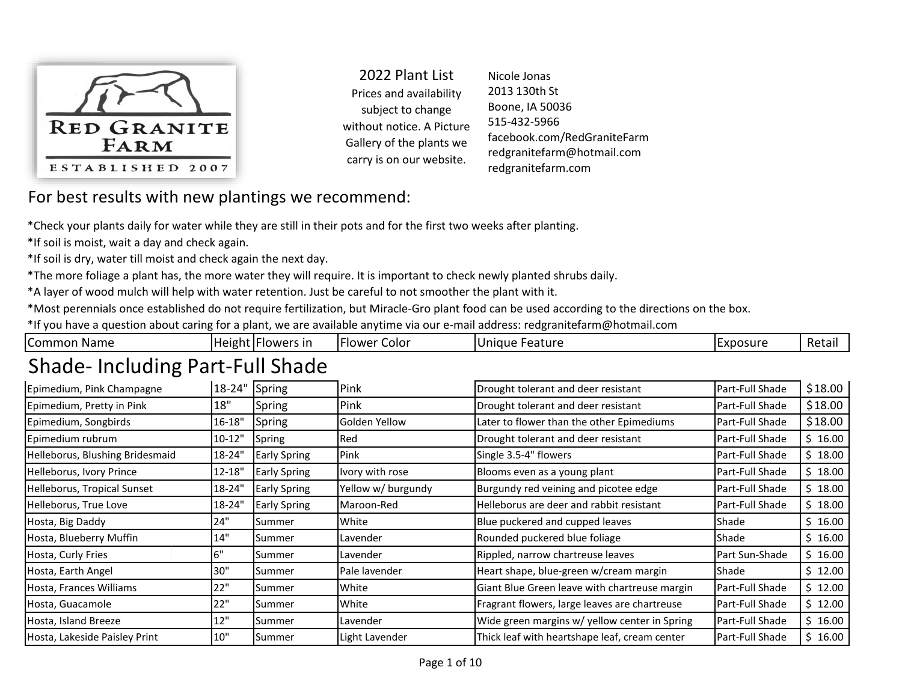

2022 Plant List Prices and availability subject to change without notice. A Picture Gallery of the plants we carry is on our website.

Nicole Jonas 2013 130th St Boone, IA 50036 515-432-5966 facebook.com/RedGraniteFarm redgranitefarm@hotmail.com redgranitefarm.com

#### For best results with new plantings we recommend:

\*Check your plants daily for water while they are still in their pots and for the first two weeks after planting.

\*If soil is moist, wait a day and check again.

\*If soil is dry, water till moist and check again the next day.

\*The more foliage a plant has, the more water they will require. It is important to check newly planted shrubs daily.

\*A layer of wood mulch will help with water retention. Just be careful to not smoother the plant with it.

\*Most perennials once established do not require fertilization, but Miracle-Gro plant food can be used according to the directions on the box.

\*If you have a question about caring for a plant, we are available anytime via our e-mail address: redgranitefarm@hotmail.com

| <b>Common Name</b>                     |            | Height Flowers in   | <b>Flower Color</b> | Unique Feature                                | Exposure        | Retail  |  |  |  |
|----------------------------------------|------------|---------------------|---------------------|-----------------------------------------------|-----------------|---------|--|--|--|
| <b>Shade-Including Part-Full Shade</b> |            |                     |                     |                                               |                 |         |  |  |  |
| Epimedium, Pink Champagne              | 18-24"     | Spring              | Pink                | Drought tolerant and deer resistant           | Part-Full Shade | \$18.00 |  |  |  |
| Epimedium, Pretty in Pink              | 18"        | Spring              | Pink                | Drought tolerant and deer resistant           | Part-Full Shade | \$18.00 |  |  |  |
| Epimedium, Songbirds                   | 16-18"     | Spring              | Golden Yellow       | Later to flower than the other Epimediums     | Part-Full Shade | \$18.00 |  |  |  |
| Epimedium rubrum                       | $10 - 12"$ | Spring              | Red                 | Drought tolerant and deer resistant           | Part-Full Shade | \$16.00 |  |  |  |
| Helleborus, Blushing Bridesmaid        | 18-24"     | <b>Early Spring</b> | Pink                | Single 3.5-4" flowers                         | Part-Full Shade | \$18.00 |  |  |  |
| Helleborus, Ivory Prince               | 12-18"     | <b>Early Spring</b> | Ivory with rose     | Blooms even as a young plant                  | Part-Full Shade | \$18.00 |  |  |  |
| Helleborus, Tropical Sunset            | 18-24"     | <b>Early Spring</b> | Yellow w/ burgundy  | Burgundy red veining and picotee edge         | Part-Full Shade | \$18.00 |  |  |  |
| Helleborus, True Love                  | 18-24"     | <b>Early Spring</b> | Maroon-Red          | Helleborus are deer and rabbit resistant      | Part-Full Shade | \$18.00 |  |  |  |
| Hosta, Big Daddy                       | 24"        | Summer              | White               | Blue puckered and cupped leaves               | Shade           | \$16.00 |  |  |  |
| Hosta, Blueberry Muffin                | 14"        | Summer              | Lavender            | Rounded puckered blue foliage                 | Shade           | \$16.00 |  |  |  |
| Hosta, Curly Fries                     | 16"        | Summer              | Lavender            | Rippled, narrow chartreuse leaves             | Part Sun-Shade  | \$16.00 |  |  |  |
| Hosta, Earth Angel                     | 30"        | Summer              | Pale lavender       | Heart shape, blue-green w/cream margin        | Shade           | \$12.00 |  |  |  |
| Hosta, Frances Williams                | 22"        | Summer              | White               | Giant Blue Green leave with chartreuse margin | Part-Full Shade | \$12.00 |  |  |  |
| Hosta, Guacamole                       | 22"        | Summer              | White               | Fragrant flowers, large leaves are chartreuse | Part-Full Shade | \$12.00 |  |  |  |
| Hosta, Island Breeze                   | 12"        | Summer              | Lavender            | Wide green margins w/ yellow center in Spring | Part-Full Shade | \$16.00 |  |  |  |
| Hosta, Lakeside Paisley Print          | 10"        | Summer              | Light Lavender      | Thick leaf with heartshape leaf, cream center | Part-Full Shade | \$16.00 |  |  |  |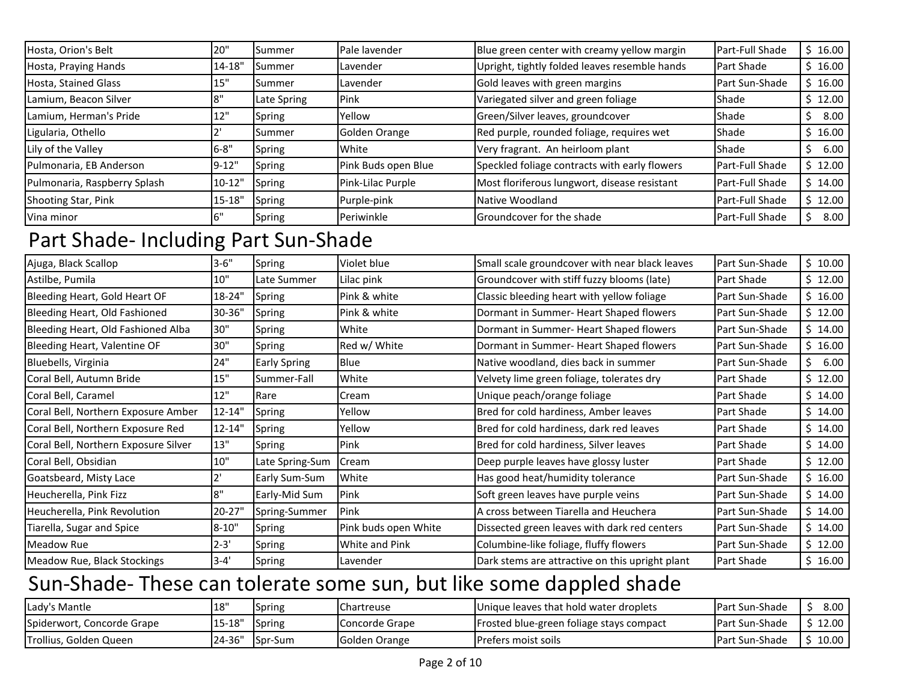| Hosta, Orion's Belt          | 20"      | lSummer     | Pale lavender       | Blue green center with creamy yellow margin   | <b>Part-Full Shade</b> | \$16.00    |
|------------------------------|----------|-------------|---------------------|-----------------------------------------------|------------------------|------------|
| Hosta, Praying Hands         | 14-18"   | Summer      | Lavender            | Upright, tightly folded leaves resemble hands | <b>Part Shade</b>      | 16.00<br>S |
| Hosta, Stained Glass         | 15"      | lSummer     | Lavender            | Gold leaves with green margins                | Part Sun-Shade         | \$16.00    |
| Lamium, Beacon Silver        |          | Late Spring | Pink                | Variegated silver and green foliage           | <b>Shade</b>           | \$12.00    |
| Lamium, Herman's Pride       | 12"      | Spring      | Yellow              | Green/Silver leaves, groundcover              | <b>Shade</b>           | 8.00<br>5  |
| Ligularia, Othello           |          | lSummer     | Golden Orange       | Red purple, rounded foliage, requires wet     | <b>Shade</b>           | 16.00      |
| Lily of the Valley           | $6 - 8"$ | Spring      | White               | Very fragrant. An heirloom plant              | <b>Shade</b>           | 6.00<br>১  |
| Pulmonaria, EB Anderson      | $9-12"$  | Spring      | Pink Buds open Blue | Speckled foliage contracts with early flowers | <b>Part-Full Shade</b> | \$12.00    |
| Pulmonaria, Raspberry Splash | 10-12"   | Spring      | Pink-Lilac Purple   | Most floriferous lungwort, disease resistant  | Part-Full Shade        | \$14.00    |
| Shooting Star, Pink          | 15-18"   | Spring      | Purple-pink         | Native Woodland                               | <b>Part-Full Shade</b> | \$12.00    |
| Vina minor                   |          | Spring      | Periwinkle          | Groundcover for the shade                     | <b>Part-Full Shade</b> | 8.00       |

# Part Shade- Including Part Sun-Shade

| Ajuga, Black Scallop                 | $3 - 6"$  | Spring              | Violet blue          | Small scale groundcover with near black leaves  | Part Sun-Shade | \$10.00    |
|--------------------------------------|-----------|---------------------|----------------------|-------------------------------------------------|----------------|------------|
| Astilbe, Pumila                      | 10"       | Late Summer         | Lilac pink           | Groundcover with stiff fuzzy blooms (late)      | Part Shade     | \$12.00    |
| Bleeding Heart, Gold Heart OF        | 18-24"    | Spring              | Pink & white         | Classic bleeding heart with yellow foliage      | Part Sun-Shade | \$16.00    |
| Bleeding Heart, Old Fashioned        | 30-36"    | Spring              | Pink & white         | Dormant in Summer- Heart Shaped flowers         | Part Sun-Shade | \$12.00    |
| Bleeding Heart, Old Fashioned Alba   | 30"       | Spring              | White                | Dormant in Summer- Heart Shaped flowers         | Part Sun-Shade | \$14.00    |
| Bleeding Heart, Valentine OF         | 30"       | Spring              | Red w/ White         | Dormant in Summer- Heart Shaped flowers         | Part Sun-Shade | \$16.00    |
| Bluebells, Virginia                  | 24"       | <b>Early Spring</b> | Blue                 | Native woodland, dies back in summer            | Part Sun-Shade | 6.00<br>-S |
| Coral Bell, Autumn Bride             | 15"       | Summer-Fall         | White                | Velvety lime green foliage, tolerates dry       | Part Shade     | \$12.00    |
| Coral Bell, Caramel                  | 12"       | Rare                | Cream                | Unique peach/orange foliage                     | Part Shade     | \$14.00    |
| Coral Bell, Northern Exposure Amber  | 12-14"    | Spring              | Yellow               | Bred for cold hardiness, Amber leaves           | Part Shade     | \$14.00    |
| Coral Bell, Northern Exposure Red    | 12-14"    | Spring              | Yellow               | Bred for cold hardiness, dark red leaves        | Part Shade     | \$14.00    |
| Coral Bell, Northern Exposure Silver | 13"       | Spring              | Pink                 | Bred for cold hardiness, Silver leaves          | Part Shade     | \$14.00    |
| Coral Bell, Obsidian                 | 10"       | Late Spring-Sum     | Cream                | Deep purple leaves have glossy luster           | Part Shade     | \$12.00    |
| Goatsbeard, Misty Lace               |           | Early Sum-Sum       | White                | Has good heat/humidity tolerance                | Part Sun-Shade | \$16.00    |
| Heucherella, Pink Fizz               | 18"       | Early-Mid Sum       | Pink                 | Soft green leaves have purple veins             | Part Sun-Shade | \$14.00    |
| Heucherella, Pink Revolution         | 20-27"    | Spring-Summer       | Pink                 | A cross between Tiarella and Heuchera           | Part Sun-Shade | \$14.00    |
| Tiarella, Sugar and Spice            | $8 - 10"$ | Spring              | Pink buds open White | Dissected green leaves with dark red centers    | Part Sun-Shade | \$14.00    |
| <b>Meadow Rue</b>                    | $2 - 3'$  | Spring              | White and Pink       | Columbine-like foliage, fluffy flowers          | Part Sun-Shade | \$12.00    |
| Meadow Rue, Black Stockings          | $3 - 4'$  | Spring              | Lavender             | Dark stems are attractive on this upright plant | Part Shade     | \$16.00    |

# Sun-Shade- These can tolerate some sun, but like some dappled shade

| Lady's Mantle               | 110         | Spring  | <b>Chartreuse</b> | Unique leaves that hold water droplets            | <b>IPart Sun-Shade</b> | 8.00  |
|-----------------------------|-------------|---------|-------------------|---------------------------------------------------|------------------------|-------|
| Spiderwort, Concorde Grape  | 15-18"      | Spring  | lConcorde Grape   | <b>If rosted blue-green foliage stays compact</b> | <b>IPart Sun-Shade</b> | 12.00 |
| Trollius,<br>. Golden Queen | $.24 - 36"$ | Spr-Sum | Golden Orange     | <b>Prefers moist soils</b>                        | <b>IPart Sun-Shade</b> | 10.00 |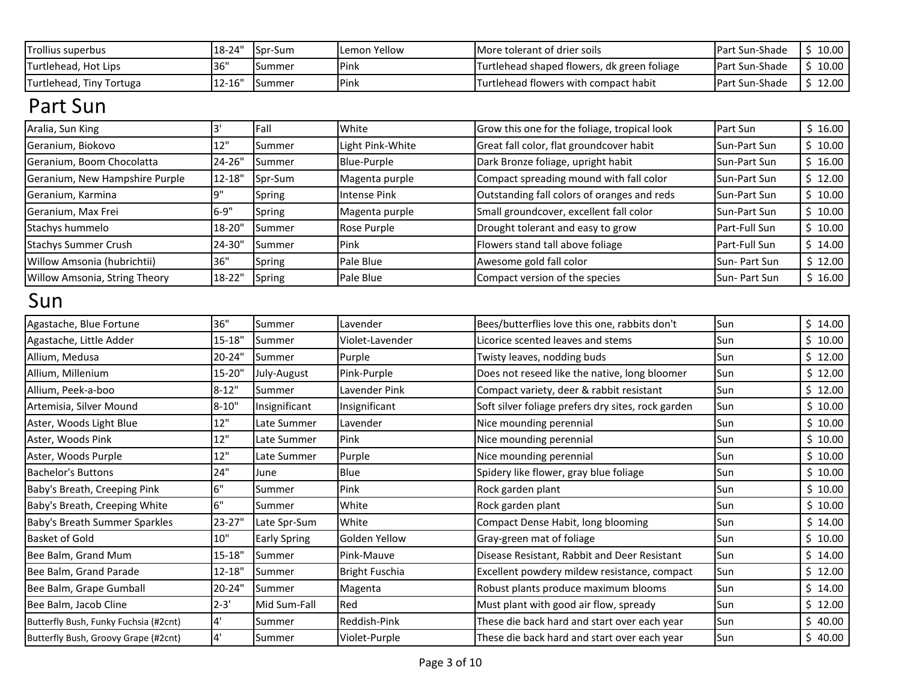| Trollius superbus        | l 18-24"                         | <b>Spr-Sum</b> | lLemon Yellow | <b>IMore tolerant of drier soils</b>         | <b>Part Sun-Shade</b>  | $10.00$ i |
|--------------------------|----------------------------------|----------------|---------------|----------------------------------------------|------------------------|-----------|
| Turtlehead, Hot Lips     | 136                              | Summer         | Pink          | Turtlehead shaped flowers, dk green foliage  | <b>IPart Sun-Shade</b> | 10.00     |
| Turtlehead, Tiny Tortuga | $\textcolor{blue}{12\text{-}16}$ | ISummer        | Pink          | <b>Turtlehead flowers with compact habit</b> | lPart Sun-Shade        | 12.00     |

# Part Sun

| Aralia, Sun King                     |           | Fall          | White            | Grow this one for the foliage, tropical look | Part Sun      | \$16.00 |
|--------------------------------------|-----------|---------------|------------------|----------------------------------------------|---------------|---------|
| Geranium, Biokovo                    | 12"       | <b>Summer</b> | Light Pink-White | Great fall color, flat groundcover habit     | Sun-Part Sun  | \$10.00 |
| Geranium, Boom Chocolatta            | 24-26"    | Summer        | Blue-Purple      | Dark Bronze foliage, upright habit           | Sun-Part Sun  | \$16.00 |
| Geranium, New Hampshire Purple       | 12-18"    | Spr-Sum       | Magenta purple   | Compact spreading mound with fall color      | Sun-Part Sun  | \$12.00 |
| Geranium, Karmina                    |           | Spring        | Intense Pink     | Outstanding fall colors of oranges and reds  | Sun-Part Sun  | \$10.00 |
| Geranium, Max Frei                   | $16 - 9"$ | Spring        | Magenta purple   | Small groundcover, excellent fall color      | Sun-Part Sun  | \$10.00 |
| Stachys hummelo                      | 18-20"    | Summer        | Rose Purple      | Drought tolerant and easy to grow            | Part-Full Sun | \$10.00 |
| <b>Stachys Summer Crush</b>          | 24-30"    | <b>Summer</b> | Pink             | Flowers stand tall above foliage             | Part-Full Sun | \$14.00 |
| Willow Amsonia (hubrichtii)          | 36"       | Spring        | Pale Blue        | Awesome gold fall color                      | Sun-Part Sun  | \$12.00 |
| <b>Willow Amsonia, String Theory</b> | 18-22"    | Spring        | Pale Blue        | Compact version of the species               | Sun-Part Sun  | \$16.00 |

### Sun

| Agastache, Blue Fortune               | 36"        | Summer        | Lavender              | Bees/butterflies love this one, rabbits don't      | Sun | \$14.00 |
|---------------------------------------|------------|---------------|-----------------------|----------------------------------------------------|-----|---------|
| Agastache, Little Adder               | 15-18"     | Summer        | Violet-Lavender       | Licorice scented leaves and stems                  | Sun | \$10.00 |
| Allium, Medusa                        | $20 - 24"$ | Summer        | Purple                | Twisty leaves, nodding buds                        | Sun | \$12.00 |
| Allium, Millenium                     | 15-20"     | July-August   | Pink-Purple           | Does not reseed like the native, long bloomer      | Sun | \$12.00 |
| Allium, Peek-a-boo                    | $8 - 12"$  | Summer        | Lavender Pink         | Compact variety, deer & rabbit resistant           | Sun | \$12.00 |
| Artemisia, Silver Mound               | 8-10"      | Insignificant | Insignificant         | Soft silver foliage prefers dry sites, rock garden | Sun | \$10.00 |
| Aster, Woods Light Blue               | 12"        | Late Summer   | Lavender              | Nice mounding perennial                            | Sun | \$10.00 |
| Aster, Woods Pink                     | 12"        | Late Summer   | Pink                  | Nice mounding perennial                            | Sun | \$10.00 |
| Aster, Woods Purple                   | 12"        | Late Summer   | Purple                | Nice mounding perennial                            | Sun | \$10.00 |
| <b>Bachelor's Buttons</b>             | 24"        | June          | Blue                  | Spidery like flower, gray blue foliage             | Sun | \$10.00 |
| Baby's Breath, Creeping Pink          | 16"        | Summer        | Pink                  | Rock garden plant                                  | Sun | \$10.00 |
| Baby's Breath, Creeping White         | l6"        | Summer        | White                 | Rock garden plant                                  | Sun | \$10.00 |
| <b>Baby's Breath Summer Sparkles</b>  | $23 - 27"$ | Late Spr-Sum  | White                 | Compact Dense Habit, long blooming                 | Sun | \$14.00 |
| <b>Basket of Gold</b>                 | 10"        | Early Spring  | <b>Golden Yellow</b>  | Gray-green mat of foliage                          | Sun | \$10.00 |
| Bee Balm, Grand Mum                   | 15-18"     | <b>Summer</b> | Pink-Mauve            | Disease Resistant, Rabbit and Deer Resistant       | Sun | \$14.00 |
| Bee Balm, Grand Parade                | 12-18"     | Summer        | <b>Bright Fuschia</b> | Excellent powdery mildew resistance, compact       | Sun | \$12.00 |
| Bee Balm, Grape Gumball               | 20-24"     | Summer        | Magenta               | Robust plants produce maximum blooms               | Sun | \$14.00 |
| Bee Balm, Jacob Cline                 | $2 - 3'$   | Mid Sum-Fall  | Red                   | Must plant with good air flow, spready             | Sun | \$12.00 |
| Butterfly Bush, Funky Fuchsia (#2cnt) | <b>4'</b>  | Summer        | Reddish-Pink          | These die back hard and start over each year       | Sun | \$40.00 |
| Butterfly Bush, Groovy Grape (#2cnt)  | 4'         | Summer        | Violet-Purple         | These die back hard and start over each year       | Sun | \$40.00 |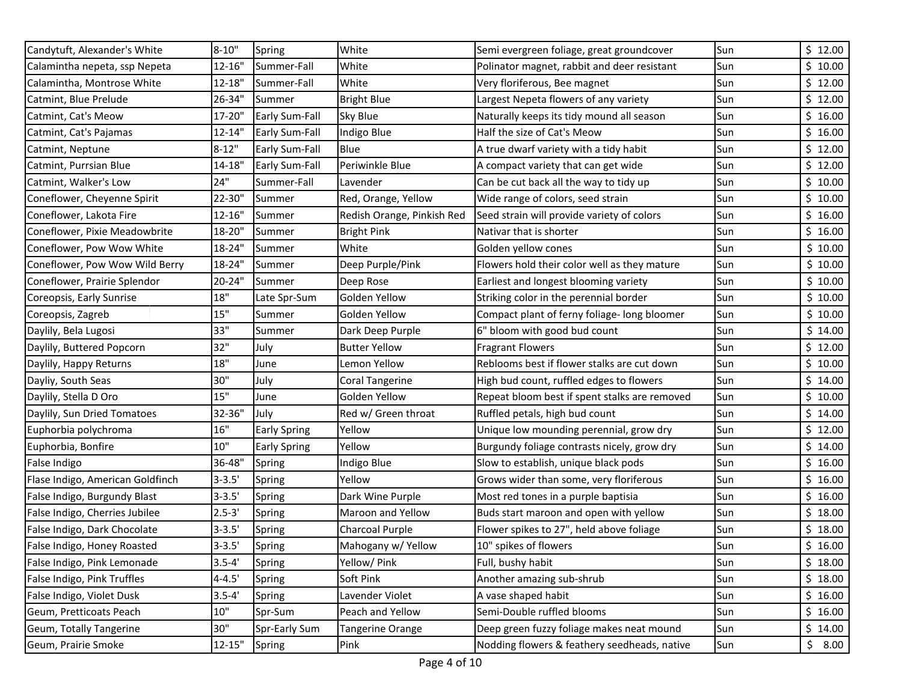| Candytuft, Alexander's White     | $8 - 10"$  | Spring              | White                      | Semi evergreen foliage, great groundcover     | Sun | \$12.00 |
|----------------------------------|------------|---------------------|----------------------------|-----------------------------------------------|-----|---------|
| Calamintha nepeta, ssp Nepeta    | 12-16"     | Summer-Fall         | White                      | Polinator magnet, rabbit and deer resistant   | Sun | \$10.00 |
| Calamintha, Montrose White       | 12-18"     | Summer-Fall         | White                      | Very floriferous, Bee magnet                  | Sun | \$12.00 |
| Catmint, Blue Prelude            | 26-34"     | Summer              | <b>Bright Blue</b>         | Largest Nepeta flowers of any variety         | Sun | \$12.00 |
| Catmint, Cat's Meow              | 17-20"     | Early Sum-Fall      | Sky Blue                   | Naturally keeps its tidy mound all season     | Sun | \$16.00 |
| Catmint, Cat's Pajamas           | 12-14"     | Early Sum-Fall      | Indigo Blue                | Half the size of Cat's Meow                   | Sun | \$16.00 |
| Catmint, Neptune                 | $8 - 12"$  | Early Sum-Fall      | Blue                       | A true dwarf variety with a tidy habit        | Sun | \$12.00 |
| Catmint, Purrsian Blue           | 14-18"     | Early Sum-Fall      | Periwinkle Blue            | A compact variety that can get wide           | Sun | \$12.00 |
| Catmint, Walker's Low            | 24"        | Summer-Fall         | Lavender                   | Can be cut back all the way to tidy up        | Sun | \$10.00 |
| Coneflower, Cheyenne Spirit      | 22-30"     | Summer              | Red, Orange, Yellow        | Wide range of colors, seed strain             | Sun | \$10.00 |
| Coneflower, Lakota Fire          | 12-16"     | Summer              | Redish Orange, Pinkish Red | Seed strain will provide variety of colors    | Sun | \$16.00 |
| Coneflower, Pixie Meadowbrite    | 18-20"     | Summer              | <b>Bright Pink</b>         | Nativar that is shorter                       | Sun | \$16.00 |
| Coneflower, Pow Wow White        | 18-24"     | Summer              | White                      | Golden yellow cones                           | Sun | \$10.00 |
| Coneflower, Pow Wow Wild Berry   | 18-24"     | Summer              | Deep Purple/Pink           | Flowers hold their color well as they mature  | Sun | \$10.00 |
| Coneflower, Prairie Splendor     | 20-24"     | Summer              | Deep Rose                  | Earliest and longest blooming variety         | Sun | \$10.00 |
| Coreopsis, Early Sunrise         | 18"        | Late Spr-Sum        | Golden Yellow              | Striking color in the perennial border        | Sun | \$10.00 |
| Coreopsis, Zagreb                | 15"        | Summer              | Golden Yellow              | Compact plant of ferny foliage- long bloomer  | Sun | \$10.00 |
| Daylily, Bela Lugosi             | 33"        | Summer              | Dark Deep Purple           | 6" bloom with good bud count                  | Sun | \$14.00 |
| Daylily, Buttered Popcorn        | 32"        | July                | <b>Butter Yellow</b>       | <b>Fragrant Flowers</b>                       | Sun | \$12.00 |
| Daylily, Happy Returns           | 18"        | June                | Lemon Yellow               | Reblooms best if flower stalks are cut down   | Sun | \$10.00 |
| Dayliy, South Seas               | 30"        | July                | <b>Coral Tangerine</b>     | High bud count, ruffled edges to flowers      | Sun | \$14.00 |
| Daylily, Stella D Oro            | 15"        | June                | Golden Yellow              | Repeat bloom best if spent stalks are removed | Sun | \$10.00 |
| Daylily, Sun Dried Tomatoes      | 32-36"     | July                | Red w/ Green throat        | Ruffled petals, high bud count                | Sun | \$14.00 |
| Euphorbia polychroma             | 16"        | <b>Early Spring</b> | Yellow                     | Unique low mounding perennial, grow dry       | Sun | \$12.00 |
| Euphorbia, Bonfire               | 10"        | <b>Early Spring</b> | Yellow                     | Burgundy foliage contrasts nicely, grow dry   | Sun | \$14.00 |
| False Indigo                     | 36-48"     | Spring              | Indigo Blue                | Slow to establish, unique black pods          | Sun | \$16.00 |
| Flase Indigo, American Goldfinch | $3 - 3.5'$ | Spring              | Yellow                     | Grows wider than some, very floriferous       | Sun | \$16.00 |
| False Indigo, Burgundy Blast     | $3 - 3.5'$ | Spring              | Dark Wine Purple           | Most red tones in a purple baptisia           | Sun | \$16.00 |
| False Indigo, Cherries Jubilee   | $2.5 - 3'$ | Spring              | Maroon and Yellow          | Buds start maroon and open with yellow        | Sun | \$18.00 |
| False Indigo, Dark Chocolate     | $3 - 3.5'$ | Spring              | Charcoal Purple            | Flower spikes to 27", held above foliage      | Sun | \$18.00 |
| False Indigo, Honey Roasted      | $3 - 3.5'$ | Spring              | Mahogany w/ Yellow         | 10" spikes of flowers                         | Sun | \$16.00 |
| False Indigo, Pink Lemonade      | $3.5 - 4'$ | Spring              | Yellow/ Pink               | Full, bushy habit                             | Sun | \$18.00 |
| False Indigo, Pink Truffles      | $4 - 4.5'$ | Spring              | Soft Pink                  | Another amazing sub-shrub                     | Sun | \$18.00 |
| False Indigo, Violet Dusk        | $3.5 - 4'$ | Spring              | Lavender Violet            | A vase shaped habit                           | Sun | \$16.00 |
| Geum, Pretticoats Peach          | 10"        | Spr-Sum             | Peach and Yellow           | Semi-Double ruffled blooms                    | Sun | \$16.00 |
| Geum, Totally Tangerine          | 30"        | Spr-Early Sum       | <b>Tangerine Orange</b>    | Deep green fuzzy foliage makes neat mound     | Sun | \$14.00 |
| Geum, Prairie Smoke              | 12-15"     | Spring              | Pink                       | Nodding flowers & feathery seedheads, native  | Sun | \$8.00  |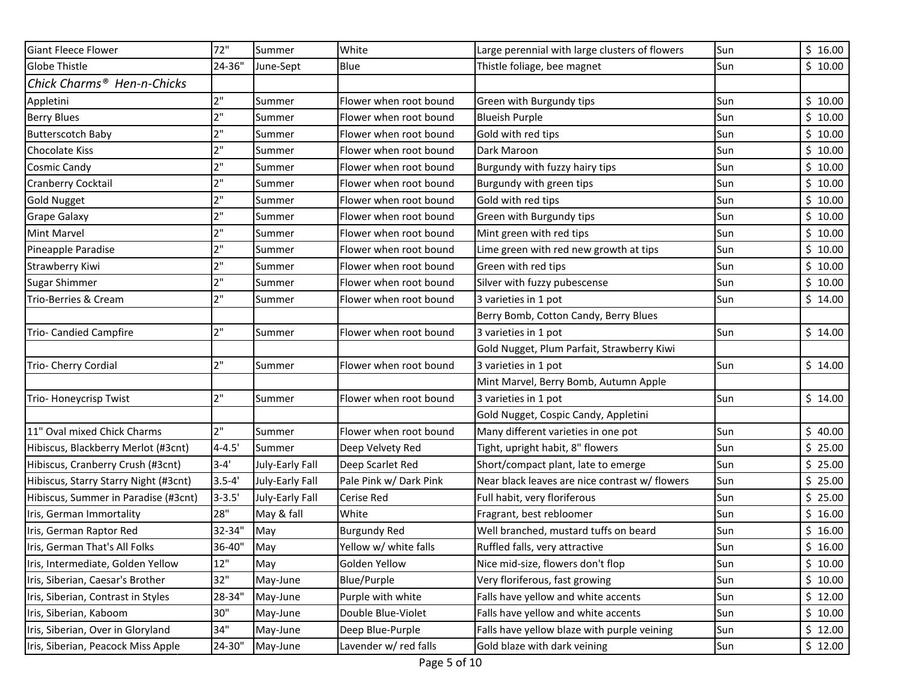| <b>Giant Fleece Flower</b>             | 72"        | Summer          | White                  | Large perennial with large clusters of flowers | Sun | \$16.00 |
|----------------------------------------|------------|-----------------|------------------------|------------------------------------------------|-----|---------|
| <b>Globe Thistle</b>                   | 24-36"     | June-Sept       | Blue                   | Thistle foliage, bee magnet                    | Sun | \$10.00 |
| Chick Charms <sup>®</sup> Hen-n-Chicks |            |                 |                        |                                                |     |         |
| Appletini                              | 2"         | Summer          | Flower when root bound | Green with Burgundy tips                       | Sun | \$10.00 |
| <b>Berry Blues</b>                     | 2"         | Summer          | Flower when root bound | <b>Blueish Purple</b>                          | Sun | \$10.00 |
| <b>Butterscotch Baby</b>               | 2"         | Summer          | Flower when root bound | Gold with red tips                             | Sun | \$10.00 |
| Chocolate Kiss                         | 2"         | Summer          | Flower when root bound | Dark Maroon                                    | Sun | \$10.00 |
| Cosmic Candy                           | 2"         | Summer          | Flower when root bound | Burgundy with fuzzy hairy tips                 | Sun | \$10.00 |
| Cranberry Cocktail                     | 2"         | Summer          | Flower when root bound | Burgundy with green tips                       | Sun | \$10.00 |
| <b>Gold Nugget</b>                     | 2"         | Summer          | Flower when root bound | Gold with red tips                             | Sun | \$10.00 |
| <b>Grape Galaxy</b>                    | 2"         | Summer          | Flower when root bound | Green with Burgundy tips                       | Sun | \$10.00 |
| <b>Mint Marvel</b>                     | 2"         | Summer          | Flower when root bound | Mint green with red tips                       | Sun | \$10.00 |
| Pineapple Paradise                     | 2"         | Summer          | Flower when root bound | Lime green with red new growth at tips         | Sun | \$10.00 |
| Strawberry Kiwi                        | 2"         | Summer          | Flower when root bound | Green with red tips                            | Sun | \$10.00 |
| <b>Sugar Shimmer</b>                   | 2"         | Summer          | Flower when root bound | Silver with fuzzy pubescense                   | Sun | \$10.00 |
| Trio-Berries & Cream                   | 2"         | Summer          | Flower when root bound | 3 varieties in 1 pot                           | Sun | \$14.00 |
|                                        |            |                 |                        | Berry Bomb, Cotton Candy, Berry Blues          |     |         |
| <b>Trio- Candied Campfire</b>          | 2"         | Summer          | Flower when root bound | 3 varieties in 1 pot                           | Sun | \$14.00 |
|                                        |            |                 |                        | Gold Nugget, Plum Parfait, Strawberry Kiwi     |     |         |
| Trio- Cherry Cordial                   | 2"         | Summer          | Flower when root bound | 3 varieties in 1 pot                           | Sun | \$14.00 |
|                                        |            |                 |                        | Mint Marvel, Berry Bomb, Autumn Apple          |     |         |
| Trio-Honeycrisp Twist                  | 2"         | Summer          | Flower when root bound | 3 varieties in 1 pot                           | Sun | \$14.00 |
|                                        |            |                 |                        | Gold Nugget, Cospic Candy, Appletini           |     |         |
| 11" Oval mixed Chick Charms            | 2"         | Summer          | Flower when root bound | Many different varieties in one pot            | Sun | \$40.00 |
| Hibiscus, Blackberry Merlot (#3cnt)    | $4 - 4.5'$ | Summer          | Deep Velvety Red       | Tight, upright habit, 8" flowers               | Sun | \$25.00 |
| Hibiscus, Cranberry Crush (#3cnt)      | $3 - 4'$   | July-Early Fall | Deep Scarlet Red       | Short/compact plant, late to emerge            | Sun | \$25.00 |
| Hibiscus, Starry Starry Night (#3cnt)  | $3.5 - 4'$ | July-Early Fall | Pale Pink w/ Dark Pink | Near black leaves are nice contrast w/ flowers | Sun | \$25.00 |
| Hibiscus, Summer in Paradise (#3cnt)   | $3 - 3.5'$ | July-Early Fall | Cerise Red             | Full habit, very floriferous                   | Sun | \$25.00 |
| Iris, German Immortality               | 28"        | May & fall      | White                  | Fragrant, best rebloomer                       | Sun | \$16.00 |
| Iris, German Raptor Red                | 32-34"     | May             | <b>Burgundy Red</b>    | Well branched, mustard tuffs on beard          | Sun | \$16.00 |
| Iris, German That's All Folks          | 36-40"     | May             | Yellow w/ white falls  | Ruffled falls, very attractive                 | Sun | \$16.00 |
| Iris, Intermediate, Golden Yellow      | 12"        | May             | Golden Yellow          | Nice mid-size, flowers don't flop              | Sun | \$10.00 |
| Iris, Siberian, Caesar's Brother       | 32"        | May-June        | Blue/Purple            | Very floriferous, fast growing                 | Sun | \$10.00 |
| Iris, Siberian, Contrast in Styles     | 28-34"     | May-June        | Purple with white      | Falls have yellow and white accents            | Sun | \$12.00 |
| Iris, Siberian, Kaboom                 | 30"        | May-June        | Double Blue-Violet     | Falls have yellow and white accents            | Sun | \$10.00 |
| Iris, Siberian, Over in Gloryland      | 34"        | May-June        | Deep Blue-Purple       | Falls have yellow blaze with purple veining    | Sun | \$12.00 |
| Iris, Siberian, Peacock Miss Apple     | 24-30"     | May-June        | Lavender w/ red falls  | Gold blaze with dark veining                   | Sun | \$12.00 |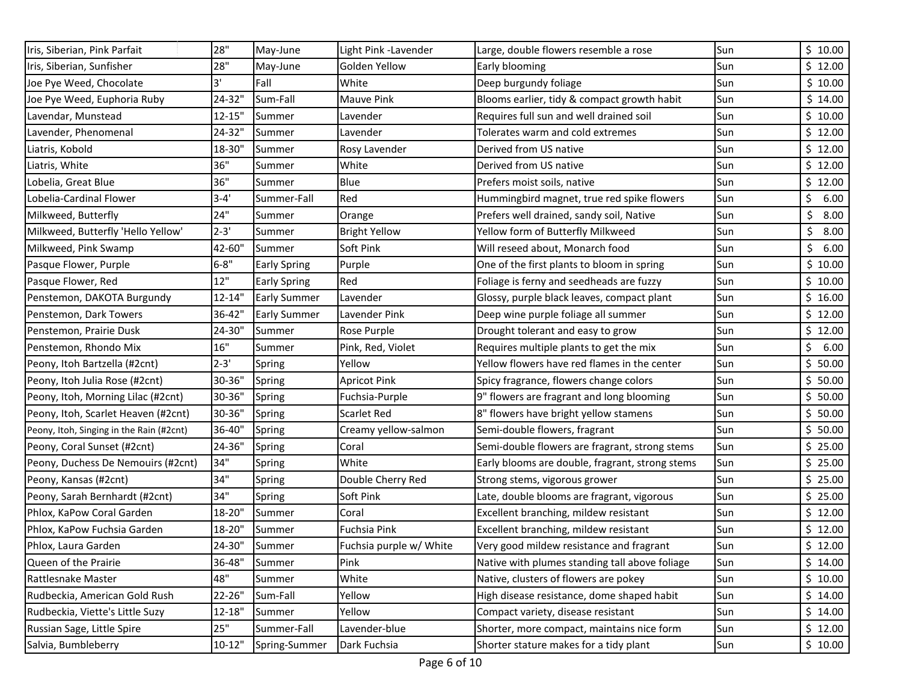| Iris, Siberian, Pink Parfait             | 28"        | May-June            | Light Pink -Lavender    | Large, double flowers resemble a rose           | Sun | \$10.00    |
|------------------------------------------|------------|---------------------|-------------------------|-------------------------------------------------|-----|------------|
| Iris, Siberian, Sunfisher                | 28"        | May-June            | Golden Yellow           | Early blooming                                  | Sun | \$12.00    |
| Joe Pye Weed, Chocolate                  | 3'         | Fall                | White                   | Deep burgundy foliage                           | Sun | \$10.00    |
| Joe Pye Weed, Euphoria Ruby              | 24-32"     | Sum-Fall            | <b>Mauve Pink</b>       | Blooms earlier, tidy & compact growth habit     | Sun | \$14.00    |
| Lavendar, Munstead                       | $12 - 15"$ | Summer              | Lavender                | Requires full sun and well drained soil         | Sun | \$10.00    |
| Lavender, Phenomenal                     | 24-32"     | Summer              | Lavender                | Tolerates warm and cold extremes                | Sun | \$12.00    |
| Liatris, Kobold                          | 18-30"     | Summer              | Rosy Lavender           | Derived from US native                          | Sun | \$12.00    |
| Liatris, White                           | 36"        | Summer              | White                   | Derived from US native                          | Sun | \$12.00    |
| Lobelia, Great Blue                      | 36"        | Summer              | Blue                    | Prefers moist soils, native                     | Sun | \$12.00    |
| Lobelia-Cardinal Flower                  | $3 - 4'$   | Summer-Fall         | Red                     | Hummingbird magnet, true red spike flowers      | Sun | \$<br>6.00 |
| Milkweed, Butterfly                      | 24"        | Summer              | Orange                  | Prefers well drained, sandy soil, Native        | Sun | \$<br>8.00 |
| Milkweed, Butterfly 'Hello Yellow'       | $2 - 3'$   | Summer              | <b>Bright Yellow</b>    | Yellow form of Butterfly Milkweed               | Sun | \$<br>8.00 |
| Milkweed, Pink Swamp                     | 42-60"     | Summer              | Soft Pink               | Will reseed about, Monarch food                 | Sun | \$<br>6.00 |
| Pasque Flower, Purple                    | $6 - 8"$   | <b>Early Spring</b> | Purple                  | One of the first plants to bloom in spring      | Sun | \$10.00    |
| Pasque Flower, Red                       | 12"        | <b>Early Spring</b> | Red                     | Foliage is ferny and seedheads are fuzzy        | Sun | \$10.00    |
| Penstemon, DAKOTA Burgundy               | 12-14"     | <b>Early Summer</b> | Lavender                | Glossy, purple black leaves, compact plant      | Sun | \$16.00    |
| Penstemon, Dark Towers                   | 36-42"     | <b>Early Summer</b> | Lavender Pink           | Deep wine purple foliage all summer             | Sun | \$12.00    |
| Penstemon, Prairie Dusk                  | 24-30"     | Summer              | Rose Purple             | Drought tolerant and easy to grow               | Sun | \$12.00    |
| Penstemon, Rhondo Mix                    | 16"        | Summer              | Pink, Red, Violet       | Requires multiple plants to get the mix         | Sun | \$<br>6.00 |
| Peony, Itoh Bartzella (#2cnt)            | $2 - 3'$   | Spring              | Yellow                  | Yellow flowers have red flames in the center    | Sun | \$50.00    |
| Peony, Itoh Julia Rose (#2cnt)           | 30-36"     | Spring              | <b>Apricot Pink</b>     | Spicy fragrance, flowers change colors          | Sun | \$50.00    |
| Peony, Itoh, Morning Lilac (#2cnt)       | 30-36"     | Spring              | Fuchsia-Purple          | 9" flowers are fragrant and long blooming       | Sun | \$50.00    |
| Peony, Itoh, Scarlet Heaven (#2cnt)      | 30-36"     | Spring              | <b>Scarlet Red</b>      | 8" flowers have bright yellow stamens           | Sun | \$50.00    |
| Peony, Itoh, Singing in the Rain (#2cnt) | 36-40"     | Spring              | Creamy yellow-salmon    | Semi-double flowers, fragrant                   | Sun | \$50.00    |
| Peony, Coral Sunset (#2cnt)              | 24-36"     | Spring              | Coral                   | Semi-double flowers are fragrant, strong stems  | Sun | \$25.00    |
| Peony, Duchess De Nemouirs (#2cnt)       | 34"        | Spring              | White                   | Early blooms are double, fragrant, strong stems | Sun | \$25.00    |
| Peony, Kansas (#2cnt)                    | 34"        | Spring              | Double Cherry Red       | Strong stems, vigorous grower                   | Sun | \$25.00    |
| Peony, Sarah Bernhardt (#2cnt)           | 34"        | Spring              | Soft Pink               | Late, double blooms are fragrant, vigorous      | Sun | \$25.00    |
| Phlox, KaPow Coral Garden                | 18-20"     | Summer              | Coral                   | Excellent branching, mildew resistant           | Sun | \$12.00    |
| Phlox, KaPow Fuchsia Garden              | 18-20"     | Summer              | Fuchsia Pink            | Excellent branching, mildew resistant           | Sun | \$12.00    |
| Phlox, Laura Garden                      | 24-30"     | Summer              | Fuchsia purple w/ White | Very good mildew resistance and fragrant        | Sun | \$12.00    |
| Queen of the Prairie                     | 36-48"     | Summer              | Pink                    | Native with plumes standing tall above foliage  | Sun | \$14.00    |
| Rattlesnake Master                       | 48"        | Summer              | White                   | Native, clusters of flowers are pokey           | Sun | \$10.00    |
| Rudbeckia, American Gold Rush            | 22-26"     | Sum-Fall            | Yellow                  | High disease resistance, dome shaped habit      | Sun | \$14.00    |
| Rudbeckia, Viette's Little Suzy          | 12-18"     | Summer              | Yellow                  | Compact variety, disease resistant              | Sun | \$14.00    |
| Russian Sage, Little Spire               | 25"        | Summer-Fall         | Lavender-blue           | Shorter, more compact, maintains nice form      | Sun | \$12.00    |
| Salvia, Bumbleberry                      | $10 - 12"$ | Spring-Summer       | Dark Fuchsia            | Shorter stature makes for a tidy plant          | Sun | \$10.00    |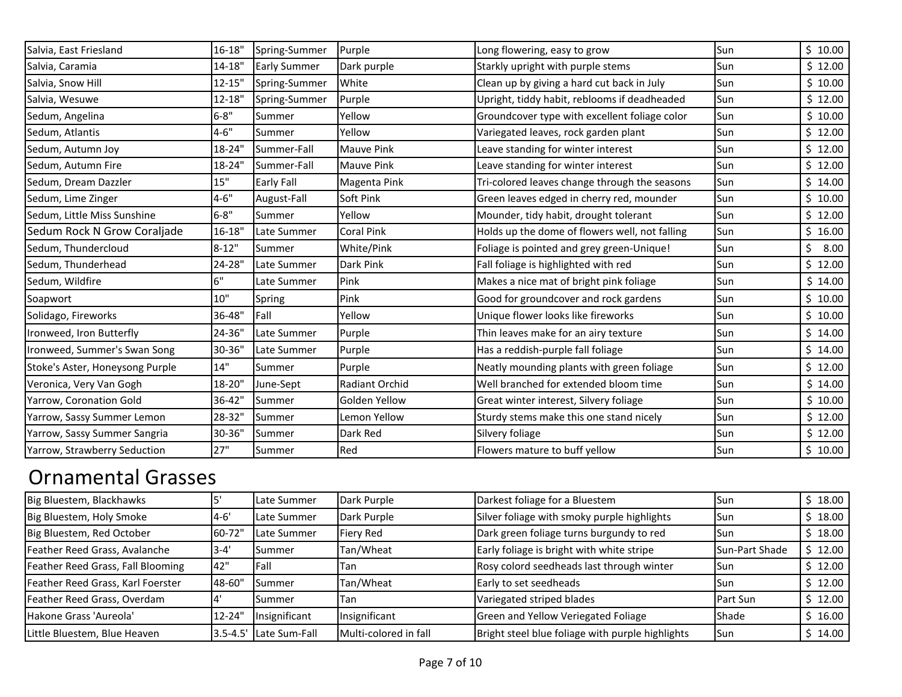| Salvia, East Friesland          | 16-18"    | Spring-Summer       | Purple                | Long flowering, easy to grow                   | Sun | \$10.00    |
|---------------------------------|-----------|---------------------|-----------------------|------------------------------------------------|-----|------------|
| Salvia, Caramia                 | 14-18"    | <b>Early Summer</b> | Dark purple           | Starkly upright with purple stems              | Sun | \$12.00    |
| Salvia, Snow Hill               | 12-15"    | Spring-Summer       | White                 | Clean up by giving a hard cut back in July     | Sun | \$10.00    |
| Salvia, Wesuwe                  | 12-18"    | Spring-Summer       | Purple                | Upright, tiddy habit, reblooms if deadheaded   | Sun | \$12.00    |
| Sedum, Angelina                 | $6 - 8"$  | Summer              | Yellow                | Groundcover type with excellent foliage color  | Sun | \$10.00    |
| Sedum, Atlantis                 | $4 - 6"$  | Summer              | Yellow                | Variegated leaves, rock garden plant           | Sun | \$12.00    |
| Sedum, Autumn Joy               | 18-24"    | Summer-Fall         | <b>Mauve Pink</b>     | Leave standing for winter interest             | Sun | \$12.00    |
| Sedum, Autumn Fire              | 18-24"    | Summer-Fall         | <b>Mauve Pink</b>     | Leave standing for winter interest             | Sun | \$12.00    |
| Sedum, Dream Dazzler            | 15"       | <b>Early Fall</b>   | Magenta Pink          | Tri-colored leaves change through the seasons  | Sun | \$14.00    |
| Sedum, Lime Zinger              | $4 - 6"$  | August-Fall         | Soft Pink             | Green leaves edged in cherry red, mounder      | Sun | \$10.00    |
| Sedum, Little Miss Sunshine     | $6 - 8"$  | Summer              | Yellow                | Mounder, tidy habit, drought tolerant          | Sun | \$12.00    |
| Sedum Rock N Grow Coraljade     | 16-18"    | Late Summer         | <b>Coral Pink</b>     | Holds up the dome of flowers well, not falling | Sun | \$16.00    |
| Sedum, Thundercloud             | $8 - 12"$ | Summer              | White/Pink            | Foliage is pointed and grey green-Unique!      | Sun | \$<br>8.00 |
| Sedum, Thunderhead              | 24-28"    | Late Summer         | Dark Pink             | Fall foliage is highlighted with red           | Sun | \$12.00    |
| Sedum, Wildfire                 | 6"        | Late Summer         | Pink                  | Makes a nice mat of bright pink foliage        | Sun | \$14.00    |
| Soapwort                        | 10"       | Spring              | Pink                  | Good for groundcover and rock gardens          | Sun | \$10.00    |
| Solidago, Fireworks             | 36-48"    | Fall                | Yellow                | Unique flower looks like fireworks             | Sun | \$10.00    |
| Ironweed, Iron Butterfly        | 24-36"    | Late Summer         | Purple                | Thin leaves make for an airy texture           | Sun | \$14.00    |
| Ironweed, Summer's Swan Song    | 30-36"    | Late Summer         | Purple                | Has a reddish-purple fall foliage              | Sun | \$14.00    |
| Stoke's Aster, Honeysong Purple | 14"       | Summer              | Purple                | Neatly mounding plants with green foliage      | Sun | \$12.00    |
| Veronica, Very Van Gogh         | 18-20"    | June-Sept           | <b>Radiant Orchid</b> | Well branched for extended bloom time          | Sun | \$14.00    |
| Yarrow, Coronation Gold         | 36-42"    | Summer              | Golden Yellow         | Great winter interest, Silvery foliage         | Sun | \$10.00    |
| Yarrow, Sassy Summer Lemon      | 28-32"    | Summer              | Lemon Yellow          | Sturdy stems make this one stand nicely        | Sun | \$12.00    |
| Yarrow, Sassy Summer Sangria    | 30-36"    | Summer              | Dark Red              | Silvery foliage                                | Sun | \$12.00    |
| Yarrow, Strawberry Seduction    | 27"       | Summer              | Red                   | Flowers mature to buff yellow                  | Sun | \$10.00    |

# Ornamental Grasses

| Big Bluestem, Blackhawks          |            | Late Summer            | Dark Purple           | Darkest foliage for a Bluestem                   | lSun.           | 18.00   |
|-----------------------------------|------------|------------------------|-----------------------|--------------------------------------------------|-----------------|---------|
| Big Bluestem, Holy Smoke          | $14 - 6'$  | Late Summer            | Dark Purple           | Silver foliage with smoky purple highlights      | l Sun           | 18.00   |
| Big Bluestem, Red October         | 60-72"     | Late Summer            | Fiery Red             | Dark green foliage turns burgundy to red         | l Sun           | \$18.00 |
| Feather Reed Grass, Avalanche     | $3 - 4'$   | Summer                 | Tan/Wheat             | Early foliage is bright with white stripe        | Sun-Part Shade  | \$12.00 |
| Feather Reed Grass, Fall Blooming | 142"       | <b>Fall</b>            | Tan                   | Rosy colord seedheads last through winter        | lSun.           | \$12.00 |
| Feather Reed Grass, Karl Foerster | 48-60"     | lSummer                | Tan/Wheat             | Early to set seedheads                           | ISun            | \$12.00 |
| Feather Reed Grass, Overdam       |            | Summer                 | Tan                   | Variegated striped blades                        | <b>Part Sun</b> | \$12.00 |
| Hakone Grass 'Aureola'            | $12 - 24"$ | Insignificant          | Insignificant         | Green and Yellow Veriegated Foliage              | <b>Shade</b>    | 16.00   |
| Little Bluestem, Blue Heaven      |            | 3.5-4.5' Late Sum-Fall | Multi-colored in fall | Bright steel blue foliage with purple highlights | <b>Sun</b>      | \$14.00 |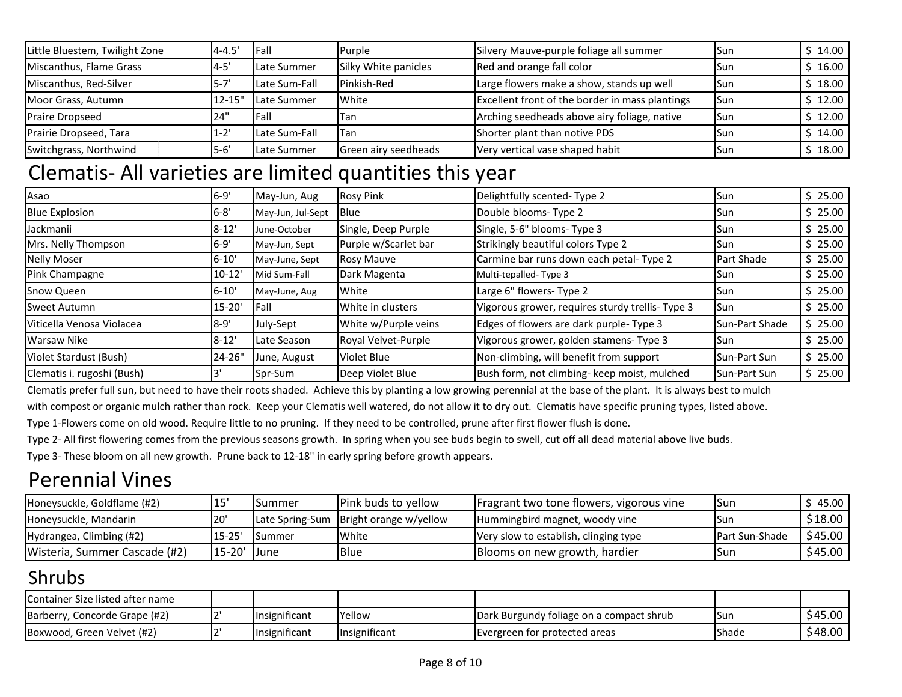| Little Bluestem, Twilight Zone | $14 - 4.5'$ | lFall         | Purple               | Silvery Mauve-purple foliage all summer         | lSun. | $5\,$ 14.00 $\parallel$ |
|--------------------------------|-------------|---------------|----------------------|-------------------------------------------------|-------|-------------------------|
| Miscanthus, Flame Grass        | $14 - 5'$   | Late Summer   | Silky White panicles | Red and orange fall color                       | lSun. | $5 16.00$ $\vert$       |
| Miscanthus, Red-Silver         |             | Late Sum-Fall | Pinkish-Red          | Large flowers make a show, stands up well       | ISun  | 518.00                  |
| Moor Grass, Autumn             | $12 - 15"$  | Late Summer   | White                | Excellent front of the border in mass plantings | lSun. | \$12.00                 |
| <b>Praire Dropseed</b>         | 24"         | <b>IFall</b>  | Tan                  | Arching seedheads above airy foliage, native    | lSun. | \$12.00                 |
| Prairie Dropseed, Tara         | $1 - 2'$    | Late Sum-Fall | Tan                  | Shorter plant than notive PDS                   | lSun. | 14.00                   |
| Switchgrass, Northwind         | $15 - 6'$   | Late Summer   | Green airy seedheads | Very vertical vase shaped habit                 | ISun  | 18.00                   |

# Clematis- All varieties are limited quantities this year

| Asao                       | $6-9'$      | May-Jun, Aug      | <b>Rosy Pink</b>     | Delightfully scented-Type 2                     | l Sun          | \$25.00 |
|----------------------------|-------------|-------------------|----------------------|-------------------------------------------------|----------------|---------|
| <b>Blue Explosion</b>      | <b>6-8'</b> | May-Jun, Jul-Sept | Blue                 | Double blooms- Type 2                           | l Sun          | \$25.00 |
| Jackmanii                  | $8 - 12'$   | June-October      | Single, Deep Purple  | Single, 5-6" blooms- Type 3                     | Sun            | \$25.00 |
| Mrs. Nelly Thompson        | $6-9'$      | May-Jun, Sept     | Purple w/Scarlet bar | Strikingly beautiful colors Type 2              | Sun            | \$25.00 |
| <b>Nelly Moser</b>         | $6 - 10'$   | May-June, Sept    | <b>Rosy Mauve</b>    | Carmine bar runs down each petal- Type 2        | Part Shade     | \$25.00 |
| Pink Champagne             | $10 - 12'$  | Mid Sum-Fall      | Dark Magenta         | Multi-tepalled-Type 3                           | l Sun          | \$25.00 |
| Snow Queen                 | $6 - 10'$   | May-June, Aug     | White                | Large 6" flowers- Type 2                        | Sun            | \$25.00 |
| Sweet Autumn               | $15 - 20'$  | <b>IFall</b>      | White in clusters    | Vigorous grower, requires sturdy trellis-Type 3 | Sun            | \$25.00 |
| Viticella Venosa Violacea  | 8-9'        | July-Sept         | White w/Purple veins | Edges of flowers are dark purple-Type 3         | Sun-Part Shade | \$25.00 |
| <b>Warsaw Nike</b>         | $8 - 12'$   | Late Season       | Royal Velvet-Purple  | Vigorous grower, golden stamens-Type 3          | l Sun          | \$25.00 |
| Violet Stardust (Bush)     | 24-26"      | June, August      | Violet Blue          | Non-climbing, will benefit from support         | Sun-Part Sun   | \$25.00 |
| Clematis i. rugoshi (Bush) |             | Spr-Sum           | Deep Violet Blue     | Bush form, not climbing- keep moist, mulched    | Sun-Part Sun   | \$25.00 |

Clematis prefer full sun, but need to have their roots shaded. Achieve this by planting a low growing perennial at the base of the plant. It is always best to mulch

with compost or organic mulch rather than rock. Keep your Clematis well watered, do not allow it to dry out. Clematis have specific pruning types, listed above.

Type 1-Flowers come on old wood. Require little to no pruning. If they need to be controlled, prune after first flower flush is done.

Type 2- All first flowering comes from the previous seasons growth. In spring when you see buds begin to swell, cut off all dead material above live buds.

Type 3- These bloom on all new growth. Prune back to 12-18" in early spring before growth appears.

### Perennial Vines

| Honeysuckle, Goldflame (#2)   | 15         | Summer        | <b>IPink buds to vellow</b>              | Fragrant two tone flowers, vigorous vine | lSun                  | 45.00 l  |
|-------------------------------|------------|---------------|------------------------------------------|------------------------------------------|-----------------------|----------|
| Honeysuckle, Mandarin         | l20'       |               | Late Spring-Sum   Bright orange w/yellow | Hummingbird magnet, woody vine           | ISun                  | $$18.00$ |
| Hydrangea, Climbing (#2)      | $15 - 25'$ | <b>Summer</b> | White                                    | Very slow to establish, clinging type    | <b>Part Sun-Shade</b> | S45.00   |
| Wisteria, Summer Cascade (#2) | 15-20'     | <b>IJune</b>  | l Blue                                   | Blooms on new growth, hardier            | Isun                  | $$45.00$ |

#### Shrubs

| <b>I</b> Container Size listed after name |               |               |                                           |              |         |
|-------------------------------------------|---------------|---------------|-------------------------------------------|--------------|---------|
| Barberry, Concorde Grape (#2)             | Insignificant | Yellow        | IDark Burgundy foliage on a compact shrub | <b>I</b> Sun | \$45.00 |
| Boxwood, Green Velvet (#2)                | Insignificant | Insignificant | Evergreen for protected areas             | <b>Shade</b> | \$48.00 |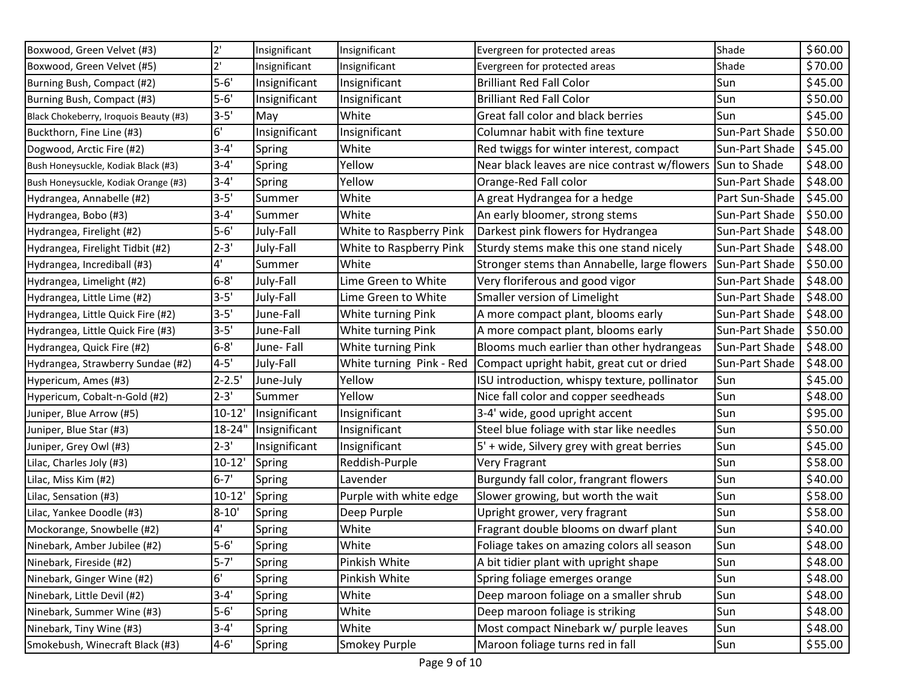| Boxwood, Green Velvet (#3)             | 2'           | Insignificant | Insignificant            | Evergreen for protected areas                 | Shade          | \$60.00 |
|----------------------------------------|--------------|---------------|--------------------------|-----------------------------------------------|----------------|---------|
| Boxwood, Green Velvet (#5)             | 2'           | Insignificant | Insignificant            | Evergreen for protected areas                 | Shade          | \$70.00 |
| Burning Bush, Compact (#2)             | $5 - 6'$     | Insignificant | Insignificant            | <b>Brilliant Red Fall Color</b>               | Sun            | \$45.00 |
| Burning Bush, Compact (#3)             | $5 - 6'$     | Insignificant | Insignificant            | <b>Brilliant Red Fall Color</b>               | Sun            | \$50.00 |
| Black Chokeberry, Iroquois Beauty (#3) | $3 - 5'$     | May           | White                    | Great fall color and black berries            | Sun            | \$45.00 |
| Buckthorn, Fine Line (#3)              | 6'           | Insignificant | Insignificant            | Columnar habit with fine texture              | Sun-Part Shade | \$50.00 |
| Dogwood, Arctic Fire (#2)              | $3 - 4'$     | Spring        | White                    | Red twiggs for winter interest, compact       | Sun-Part Shade | \$45.00 |
| Bush Honeysuckle, Kodiak Black (#3)    | $3 - 4'$     | Spring        | Yellow                   | Near black leaves are nice contrast w/flowers | Sun to Shade   | \$48.00 |
| Bush Honeysuckle, Kodiak Orange (#3)   | $3 - 4'$     | Spring        | Yellow                   | Orange-Red Fall color                         | Sun-Part Shade | \$48.00 |
| Hydrangea, Annabelle (#2)              | $3 - 5'$     | Summer        | White                    | A great Hydrangea for a hedge                 | Part Sun-Shade | \$45.00 |
| Hydrangea, Bobo (#3)                   | $3 - 4'$     | Summer        | White                    | An early bloomer, strong stems                | Sun-Part Shade | \$50.00 |
| Hydrangea, Firelight (#2)              | $5 - 6'$     | July-Fall     | White to Raspberry Pink  | Darkest pink flowers for Hydrangea            | Sun-Part Shade | \$48.00 |
| Hydrangea, Firelight Tidbit (#2)       | $2 - 3'$     | July-Fall     | White to Raspberry Pink  | Sturdy stems make this one stand nicely       | Sun-Part Shade | \$48.00 |
| Hydrangea, Incrediball (#3)            | 4'           | Summer        | White                    | Stronger stems than Annabelle, large flowers  | Sun-Part Shade | \$50.00 |
| Hydrangea, Limelight (#2)              | $6 - 8'$     | July-Fall     | Lime Green to White      | Very floriferous and good vigor               | Sun-Part Shade | \$48.00 |
| Hydrangea, Little Lime (#2)            | $3 - 5'$     | July-Fall     | Lime Green to White      | Smaller version of Limelight                  | Sun-Part Shade | \$48.00 |
| Hydrangea, Little Quick Fire (#2)      | $3 - 5'$     | June-Fall     | White turning Pink       | A more compact plant, blooms early            | Sun-Part Shade | \$48.00 |
| Hydrangea, Little Quick Fire (#3)      | $3 - 5'$     | June-Fall     | White turning Pink       | A more compact plant, blooms early            | Sun-Part Shade | \$50.00 |
| Hydrangea, Quick Fire (#2)             | $6 - 8'$     | June-Fall     | White turning Pink       | Blooms much earlier than other hydrangeas     | Sun-Part Shade | \$48.00 |
| Hydrangea, Strawberry Sundae (#2)      | $4 - 5'$     | July-Fall     | White turning Pink - Red | Compact upright habit, great cut or dried     | Sun-Part Shade | \$48.00 |
| Hypericum, Ames (#3)                   | $2 - 2.5'$   | June-July     | Yellow                   | ISU introduction, whispy texture, pollinator  | Sun            | \$45.00 |
| Hypericum, Cobalt-n-Gold (#2)          | $2 - 3'$     | Summer        | Yellow                   | Nice fall color and copper seedheads          | Sun            | \$48.00 |
| Juniper, Blue Arrow (#5)               | $10 - 12$    | Insignificant | Insignificant            | 3-4' wide, good upright accent                | Sun            | \$95.00 |
| Juniper, Blue Star (#3)                | 18-24"       | Insignificant | Insignificant            | Steel blue foliage with star like needles     | Sun            | \$50.00 |
| Juniper, Grey Owl (#3)                 | $2 - 3'$     | Insignificant | Insignificant            | 5' + wide, Silvery grey with great berries    | Sun            | \$45.00 |
| Lilac, Charles Joly (#3)               | $10 - 12$    | Spring        | Reddish-Purple           | Very Fragrant                                 | Sun            | \$58.00 |
| Lilac, Miss Kim (#2)                   | $6 - 7'$     | Spring        | Lavender                 | Burgundy fall color, frangrant flowers        | Sun            | \$40.00 |
| Lilac, Sensation (#3)                  | $10 - 12$    | Spring        | Purple with white edge   | Slower growing, but worth the wait            | Sun            | \$58.00 |
| Lilac, Yankee Doodle (#3)              | $8 - 10'$    | Spring        | Deep Purple              | Upright grower, very fragrant                 | Sun            | \$58.00 |
| Mockorange, Snowbelle (#2)             | 4'           | Spring        | White                    | Fragrant double blooms on dwarf plant         | Sun            | \$40.00 |
| Ninebark, Amber Jubilee (#2)           | $5 - 6'$     | Spring        | White                    | Foliage takes on amazing colors all season    | Sun            | \$48.00 |
| Ninebark, Fireside (#2)                | $5 - 7'$     | Spring        | Pinkish White            | A bit tidier plant with upright shape         | Sun            | \$48.00 |
| Ninebark, Ginger Wine (#2)             | $6^{\prime}$ | Spring        | Pinkish White            | Spring foliage emerges orange                 | Sun            | \$48.00 |
| Ninebark, Little Devil (#2)            | $3 - 4'$     | Spring        | White                    | Deep maroon foliage on a smaller shrub        | Sun            | \$48.00 |
| Ninebark, Summer Wine (#3)             | $5 - 6'$     | Spring        | White                    | Deep maroon foliage is striking               | Sun            | \$48.00 |
| Ninebark, Tiny Wine (#3)               | $3 - 4'$     | Spring        | White                    | Most compact Ninebark w/ purple leaves        | Sun            | \$48.00 |
| Smokebush, Winecraft Black (#3)        | $4 - 6'$     | Spring        | <b>Smokey Purple</b>     | Maroon foliage turns red in fall              | Sun            | \$55.00 |